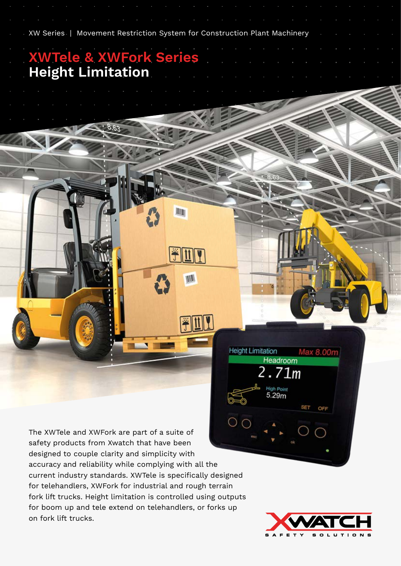The XWTele and XWFork are part of a suite of safety products from Xwatch that have been designed to couple clarity and simplicity with accuracy and reliability while complying with all the current industry standards. XWTele is specifically designed for telehandlers, XWFork for industrial and rough terrain fork lift trucks. Height limitation is controlled using outputs for boom up and tele extend on telehandlers, or forks up on fork lift trucks.

XW Series | Movement Restriction System for Construction Plant Machinery

**JOHN** 

W

**Height Limitation** 

Headroom  $2.71m$ 

> **High Point**  $5.29<sub>m</sub>$

**XWTele & XWFork Series**

**Height Limitation**



Max 8.00m

OFF

**SET**